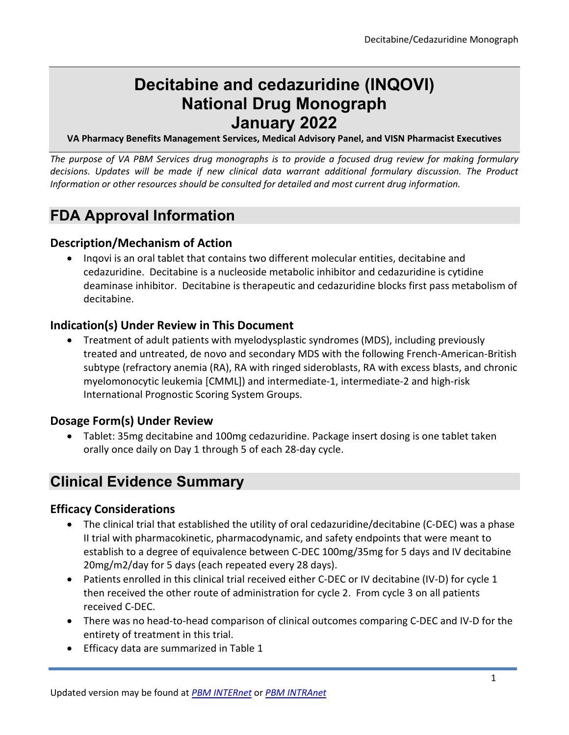# **Decitabine and cedazuridine (INQOVI) National Drug Monograph January 2022**

**VA Pharmacy Benefits Management Services, Medical Advisory Panel, and VISN Pharmacist Executives**

*The purpose of VA PBM Services drug monographs is to provide a focused drug review for making formulary decisions. Updates will be made if new clinical data warrant additional formulary discussion. The Product Information or other resources should be consulted for detailed and most current drug information.*

# **FDA Approval Information**

#### **Description/Mechanism of Action**

• Inqovi is an oral tablet that contains two different molecular entities, decitabine and cedazuridine. Decitabine is a nucleoside metabolic inhibitor and cedazuridine is cytidine deaminase inhibitor. Decitabine is therapeutic and cedazuridine blocks first pass metabolism of decitabine.

#### **Indication(s) Under Review in This Document**

• Treatment of adult patients with myelodysplastic syndromes (MDS), including previously treated and untreated, de novo and secondary MDS with the following French-American-British subtype (refractory anemia (RA), RA with ringed sideroblasts, RA with excess blasts, and chronic myelomonocytic leukemia [CMML]) and intermediate-1, intermediate-2 and high-risk International Prognostic Scoring System Groups.

#### **Dosage Form(s) Under Review**

• Tablet: 35mg decitabine and 100mg cedazuridine. Package insert dosing is one tablet taken orally once daily on Day 1 through 5 of each 28-day cycle.

### **Clinical Evidence Summary**

#### **Efficacy Considerations**

- The clinical trial that established the utility of oral cedazuridine/decitabine (C-DEC) was a phase II trial with pharmacokinetic, pharmacodynamic, and safety endpoints that were meant to establish to a degree of equivalence between C-DEC 100mg/35mg for 5 days and IV decitabine 20mg/m2/day for 5 days (each repeated every 28 days).
- Patients enrolled in this clinical trial received either C-DEC or IV decitabine (IV-D) for cycle 1 then received the other route of administration for cycle 2. From cycle 3 on all patients received C-DEC.
- There was no head-to-head comparison of clinical outcomes comparing C-DEC and IV-D for the entirety of treatment in this trial.
- Efficacy data are summarized in Table 1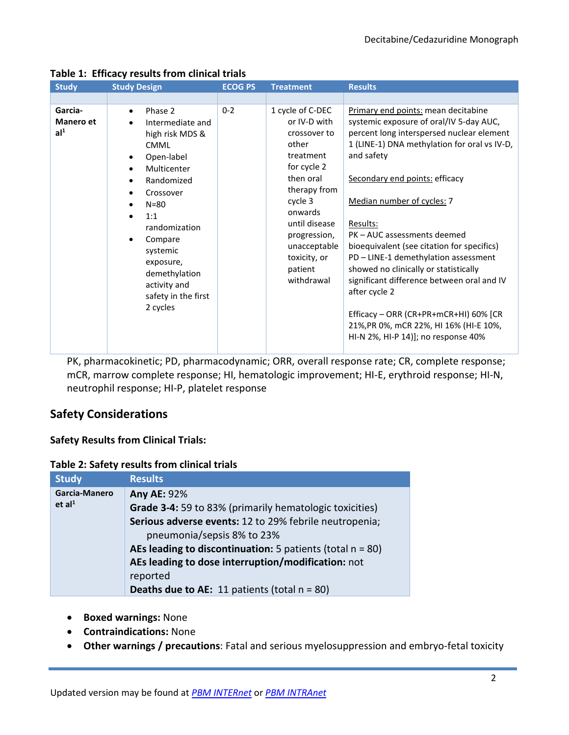| <b>Study</b>                                   | <b>Study Design</b>                                                                                                                                                                                                                                                                         | <b>ECOG PS</b> | <b>Treatment</b>                                                                                                                                                                                                                   | <b>Results</b>                                                                                                                                                                                                                                                                                                                                                                                                                                                                                                                                                                                                               |
|------------------------------------------------|---------------------------------------------------------------------------------------------------------------------------------------------------------------------------------------------------------------------------------------------------------------------------------------------|----------------|------------------------------------------------------------------------------------------------------------------------------------------------------------------------------------------------------------------------------------|------------------------------------------------------------------------------------------------------------------------------------------------------------------------------------------------------------------------------------------------------------------------------------------------------------------------------------------------------------------------------------------------------------------------------------------------------------------------------------------------------------------------------------------------------------------------------------------------------------------------------|
|                                                |                                                                                                                                                                                                                                                                                             |                |                                                                                                                                                                                                                                    |                                                                                                                                                                                                                                                                                                                                                                                                                                                                                                                                                                                                                              |
| Garcia-<br><b>Manero et</b><br>al <sup>1</sup> | Phase 2<br>$\bullet$<br>Intermediate and<br>high risk MDS &<br><b>CMML</b><br>Open-label<br>Multicenter<br>$\bullet$<br>Randomized<br>Crossover<br>$N = 80$<br>1:1<br>randomization<br>Compare<br>systemic<br>exposure,<br>demethylation<br>activity and<br>safety in the first<br>2 cycles | $0 - 2$        | 1 cycle of C-DEC<br>or IV-D with<br>crossover to<br>other<br>treatment<br>for cycle 2<br>then oral<br>therapy from<br>cycle 3<br>onwards<br>until disease<br>progression,<br>unacceptable<br>toxicity, or<br>patient<br>withdrawal | Primary end points: mean decitabine<br>systemic exposure of oral/IV 5-day AUC,<br>percent long interspersed nuclear element<br>1 (LINE-1) DNA methylation for oral vs IV-D,<br>and safety<br>Secondary end points: efficacy<br>Median number of cycles: 7<br>Results:<br>PK – AUC assessments deemed<br>bioequivalent (see citation for specifics)<br>PD - LINE-1 demethylation assessment<br>showed no clinically or statistically<br>significant difference between oral and IV<br>after cycle 2<br>Efficacy - ORR (CR+PR+mCR+HI) 60% [CR<br>21%, PR 0%, mCR 22%, HI 16% (HI-E 10%,<br>HI-N 2%, HI-P 14)]; no response 40% |

**Table 1: Efficacy results from clinical trials**

PK, pharmacokinetic; PD, pharmacodynamic; ORR, overall response rate; CR, complete response; mCR, marrow complete response; HI, hematologic improvement; HI-E, erythroid response; HI-N, neutrophil response; HI-P, platelet response

#### **Safety Considerations**

#### **Safety Results from Clinical Trials:**

|  |  |  |  |  | Table 2: Safety results from clinical trials |  |
|--|--|--|--|--|----------------------------------------------|--|
|--|--|--|--|--|----------------------------------------------|--|

| <b>Study</b>       | <b>Results</b>                                               |
|--------------------|--------------------------------------------------------------|
| Garcia-Manero      | Any AE: 92%                                                  |
| et al <sup>1</sup> | Grade 3-4: 59 to 83% (primarily hematologic toxicities)      |
|                    | Serious adverse events: 12 to 29% febrile neutropenia;       |
|                    | pneumonia/sepsis 8% to 23%                                   |
|                    | AEs leading to discontinuation: 5 patients (total $n = 80$ ) |
|                    | AEs leading to dose interruption/modification: not           |
|                    | reported                                                     |
|                    | <b>Deaths due to AE:</b> 11 patients (total $n = 80$ )       |

- **Boxed warnings:** None
- **Contraindications:** None
- **Other warnings / precautions**: Fatal and serious myelosuppression and embryo-fetal toxicity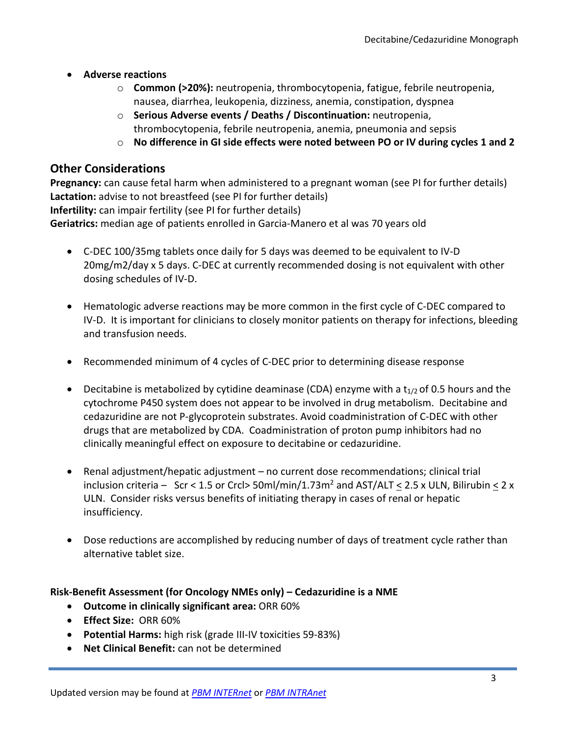- **Adverse reactions**
	- o **Common (>20%):** neutropenia, thrombocytopenia, fatigue, febrile neutropenia, nausea, diarrhea, leukopenia, dizziness, anemia, constipation, dyspnea
	- o **Serious Adverse events / Deaths / Discontinuation:** neutropenia, thrombocytopenia, febrile neutropenia, anemia, pneumonia and sepsis
	- o **No difference in GI side effects were noted between PO or IV during cycles 1 and 2**

#### **Other Considerations**

**Pregnancy:** can cause fetal harm when administered to a pregnant woman (see PI for further details) **Lactation:** advise to not breastfeed (see PI for further details) **Infertility:** can impair fertility (see PI for further details) **Geriatrics:** median age of patients enrolled in Garcia-Manero et al was 70 years old

- C-DEC 100/35mg tablets once daily for 5 days was deemed to be equivalent to IV-D 20mg/m2/day x 5 days. C-DEC at currently recommended dosing is not equivalent with other dosing schedules of IV-D.
- Hematologic adverse reactions may be more common in the first cycle of C-DEC compared to IV-D. It is important for clinicians to closely monitor patients on therapy for infections, bleeding and transfusion needs.
- Recommended minimum of 4 cycles of C-DEC prior to determining disease response
- Decitabine is metabolized by cytidine deaminase (CDA) enzyme with a  $t_{1/2}$  of 0.5 hours and the cytochrome P450 system does not appear to be involved in drug metabolism. Decitabine and cedazuridine are not P-glycoprotein substrates. Avoid coadministration of C-DEC with other drugs that are metabolized by CDA. Coadministration of proton pump inhibitors had no clinically meaningful effect on exposure to decitabine or cedazuridine.
- Renal adjustment/hepatic adjustment no current dose recommendations; clinical trial inclusion criteria – Scr < 1.5 or Crcl> 50ml/min/1.73m<sup>2</sup> and AST/ALT < 2.5 x ULN, Bilirubin < 2 x ULN. Consider risks versus benefits of initiating therapy in cases of renal or hepatic insufficiency.
- Dose reductions are accomplished by reducing number of days of treatment cycle rather than alternative tablet size.

#### **Risk-Benefit Assessment (for Oncology NMEs only) – Cedazuridine is a NME**

- **Outcome in clinically significant area:** ORR 60%
- **Effect Size:** ORR 60%
- **Potential Harms:** high risk (grade III-IV toxicities 59-83%)
- **Net Clinical Benefit:** can not be determined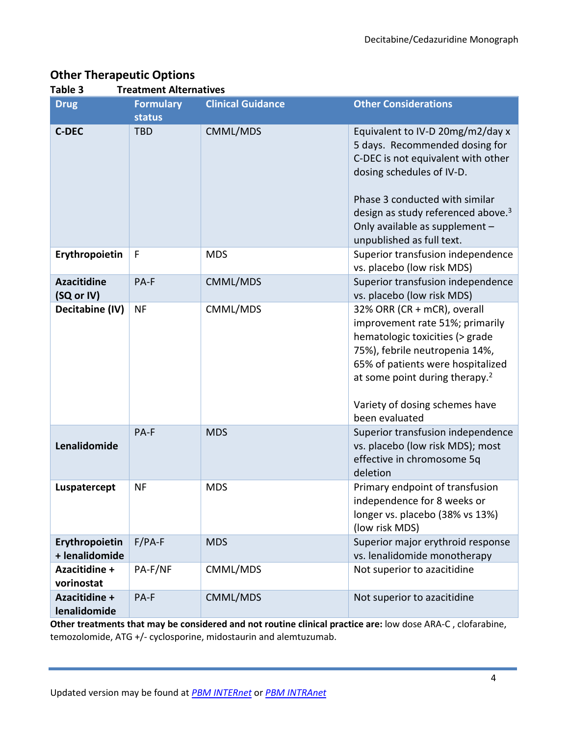### **Other Therapeutic Options**

| Table 3                          | <b>Treatment Alternatives</b> |                          |                                                                                                                                                                                                                                                                                          |  |  |
|----------------------------------|-------------------------------|--------------------------|------------------------------------------------------------------------------------------------------------------------------------------------------------------------------------------------------------------------------------------------------------------------------------------|--|--|
| <b>Drug</b>                      | <b>Formulary</b><br>status    | <b>Clinical Guidance</b> | <b>Other Considerations</b>                                                                                                                                                                                                                                                              |  |  |
| <b>C-DEC</b>                     | <b>TBD</b>                    | CMML/MDS                 | Equivalent to IV-D 20mg/m2/day x<br>5 days. Recommended dosing for<br>C-DEC is not equivalent with other<br>dosing schedules of IV-D.<br>Phase 3 conducted with similar<br>design as study referenced above. <sup>3</sup><br>Only available as supplement -<br>unpublished as full text. |  |  |
| Erythropoietin                   | F                             | <b>MDS</b>               | Superior transfusion independence<br>vs. placebo (low risk MDS)                                                                                                                                                                                                                          |  |  |
| <b>Azacitidine</b><br>(SQ or IV) | PA-F                          | CMML/MDS                 | Superior transfusion independence<br>vs. placebo (low risk MDS)                                                                                                                                                                                                                          |  |  |
| Decitabine (IV)                  | <b>NF</b>                     | CMML/MDS                 | 32% ORR (CR + mCR), overall<br>improvement rate 51%; primarily<br>hematologic toxicities (> grade<br>75%), febrile neutropenia 14%,<br>65% of patients were hospitalized<br>at some point during therapy. <sup>2</sup><br>Variety of dosing schemes have<br>been evaluated               |  |  |
| Lenalidomide                     | PA-F                          | <b>MDS</b>               | Superior transfusion independence<br>vs. placebo (low risk MDS); most<br>effective in chromosome 5q<br>deletion                                                                                                                                                                          |  |  |
| Luspatercept                     | <b>NF</b>                     | <b>MDS</b>               | Primary endpoint of transfusion<br>independence for 8 weeks or<br>longer vs. placebo (38% vs 13%)<br>(low risk MDS)                                                                                                                                                                      |  |  |
| Erythropoietin<br>+ lenalidomide | $F/PA-F$                      | <b>MDS</b>               | Superior major erythroid response<br>vs. lenalidomide monotherapy                                                                                                                                                                                                                        |  |  |
| Azacitidine +<br>vorinostat      | PA-F/NF                       | CMML/MDS                 | Not superior to azacitidine                                                                                                                                                                                                                                                              |  |  |
| Azacitidine +<br>lenalidomide    | PA-F                          | CMML/MDS                 | Not superior to azacitidine                                                                                                                                                                                                                                                              |  |  |

**Other treatments that may be considered and not routine clinical practice are:** low dose ARA-C , clofarabine, temozolomide, ATG +/- cyclosporine, midostaurin and alemtuzumab.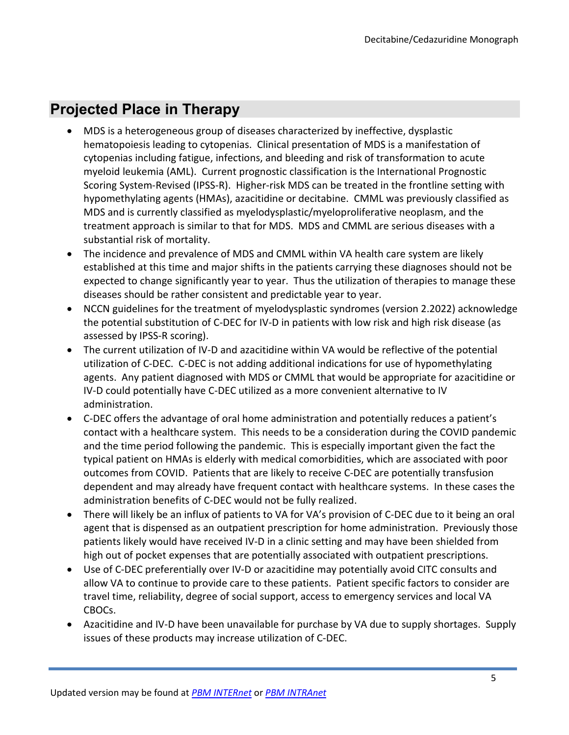## **Projected Place in Therapy**

- MDS is a heterogeneous group of diseases characterized by ineffective, dysplastic hematopoiesis leading to cytopenias. Clinical presentation of MDS is a manifestation of cytopenias including fatigue, infections, and bleeding and risk of transformation to acute myeloid leukemia (AML). Current prognostic classification is the International Prognostic Scoring System-Revised (IPSS-R). Higher-risk MDS can be treated in the frontline setting with hypomethylating agents (HMAs), azacitidine or decitabine. CMML was previously classified as MDS and is currently classified as myelodysplastic/myeloproliferative neoplasm, and the treatment approach is similar to that for MDS. MDS and CMML are serious diseases with a substantial risk of mortality.
- The incidence and prevalence of MDS and CMML within VA health care system are likely established at this time and major shifts in the patients carrying these diagnoses should not be expected to change significantly year to year. Thus the utilization of therapies to manage these diseases should be rather consistent and predictable year to year.
- NCCN guidelines for the treatment of myelodysplastic syndromes (version 2.2022) acknowledge the potential substitution of C-DEC for IV-D in patients with low risk and high risk disease (as assessed by IPSS-R scoring).
- The current utilization of IV-D and azacitidine within VA would be reflective of the potential utilization of C-DEC. C-DEC is not adding additional indications for use of hypomethylating agents. Any patient diagnosed with MDS or CMML that would be appropriate for azacitidine or IV-D could potentially have C-DEC utilized as a more convenient alternative to IV administration.
- C-DEC offers the advantage of oral home administration and potentially reduces a patient's contact with a healthcare system. This needs to be a consideration during the COVID pandemic and the time period following the pandemic. This is especially important given the fact the typical patient on HMAs is elderly with medical comorbidities, which are associated with poor outcomes from COVID. Patients that are likely to receive C-DEC are potentially transfusion dependent and may already have frequent contact with healthcare systems. In these cases the administration benefits of C-DEC would not be fully realized.
- There will likely be an influx of patients to VA for VA's provision of C-DEC due to it being an oral agent that is dispensed as an outpatient prescription for home administration. Previously those patients likely would have received IV-D in a clinic setting and may have been shielded from high out of pocket expenses that are potentially associated with outpatient prescriptions.
- Use of C-DEC preferentially over IV-D or azacitidine may potentially avoid CITC consults and allow VA to continue to provide care to these patients. Patient specific factors to consider are travel time, reliability, degree of social support, access to emergency services and local VA CBOCs.
- Azacitidine and IV-D have been unavailable for purchase by VA due to supply shortages. Supply issues of these products may increase utilization of C-DEC.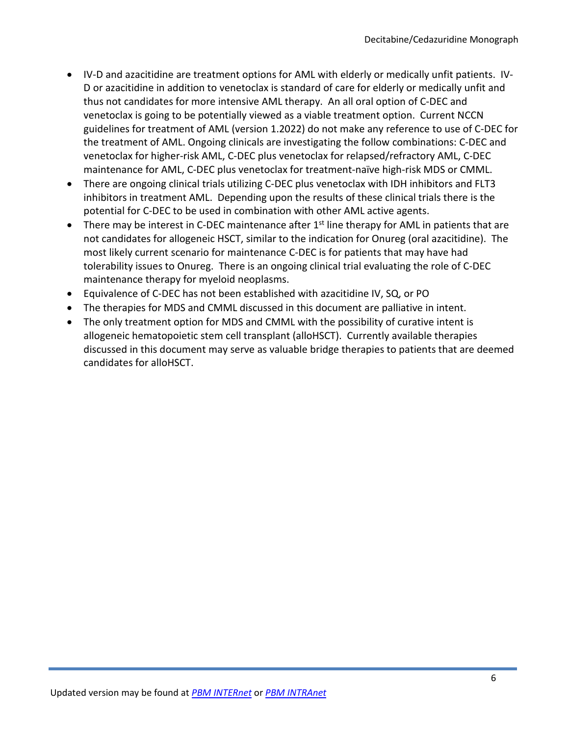- IV-D and azacitidine are treatment options for AML with elderly or medically unfit patients. IV-D or azacitidine in addition to venetoclax is standard of care for elderly or medically unfit and thus not candidates for more intensive AML therapy. An all oral option of C-DEC and venetoclax is going to be potentially viewed as a viable treatment option. Current NCCN guidelines for treatment of AML (version 1.2022) do not make any reference to use of C-DEC for the treatment of AML. Ongoing clinicals are investigating the follow combinations: C-DEC and venetoclax for higher-risk AML, C-DEC plus venetoclax for relapsed/refractory AML, C-DEC maintenance for AML, C-DEC plus venetoclax for treatment-naïve high-risk MDS or CMML.
- There are ongoing clinical trials utilizing C-DEC plus venetoclax with IDH inhibitors and FLT3 inhibitors in treatment AML. Depending upon the results of these clinical trials there is the potential for C-DEC to be used in combination with other AML active agents.
- There may be interest in C-DEC maintenance after  $1<sup>st</sup>$  line therapy for AML in patients that are not candidates for allogeneic HSCT, similar to the indication for Onureg (oral azacitidine). The most likely current scenario for maintenance C-DEC is for patients that may have had tolerability issues to Onureg. There is an ongoing clinical trial evaluating the role of C-DEC maintenance therapy for myeloid neoplasms.
- Equivalence of C-DEC has not been established with azacitidine IV, SQ, or PO
- The therapies for MDS and CMML discussed in this document are palliative in intent.
- The only treatment option for MDS and CMML with the possibility of curative intent is allogeneic hematopoietic stem cell transplant (alloHSCT). Currently available therapies discussed in this document may serve as valuable bridge therapies to patients that are deemed candidates for alloHSCT.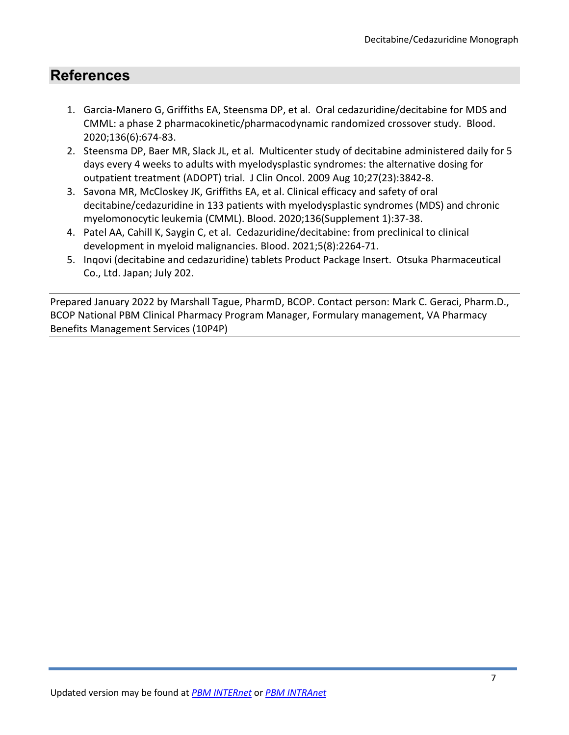## **References**

- 1. Garcia-Manero G, Griffiths EA, Steensma DP, et al. Oral cedazuridine/decitabine for MDS and CMML: a phase 2 pharmacokinetic/pharmacodynamic randomized crossover study. Blood. 2020;136(6):674-83.
- 2. Steensma DP, Baer MR, Slack JL, et al. Multicenter study of decitabine administered daily for 5 days every 4 weeks to adults with myelodysplastic syndromes: the alternative dosing for outpatient treatment (ADOPT) trial. J Clin Oncol. 2009 Aug 10;27(23):3842-8.
- 3. Savona MR, McCloskey JK, Griffiths EA, et al. Clinical efficacy and safety of oral decitabine/cedazuridine in 133 patients with myelodysplastic syndromes (MDS) and chronic myelomonocytic leukemia (CMML). Blood. 2020;136(Supplement 1):37-38.
- 4. Patel AA, Cahill K, Saygin C, et al. Cedazuridine/decitabine: from preclinical to clinical development in myeloid malignancies. Blood. 2021;5(8):2264-71.
- 5. Inqovi (decitabine and cedazuridine) tablets Product Package Insert. Otsuka Pharmaceutical Co., Ltd. Japan; July 202.

Prepared January 2022 by Marshall Tague, PharmD, BCOP. Contact person: Mark C. Geraci, Pharm.D., BCOP National PBM Clinical Pharmacy Program Manager, Formulary management, VA Pharmacy Benefits Management Services (10P4P)